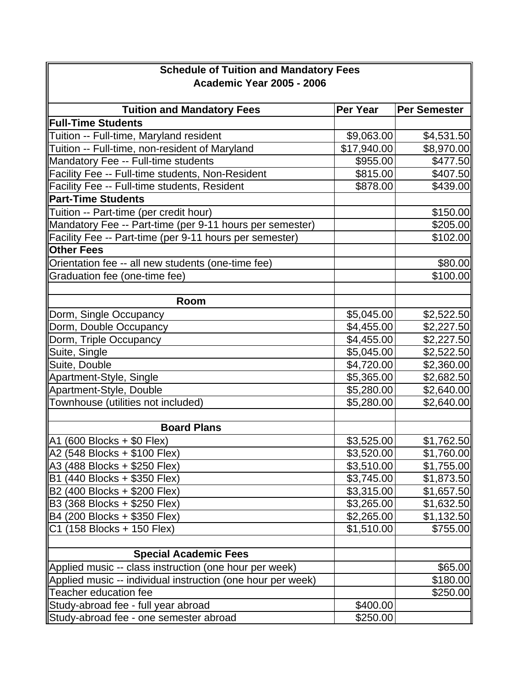| <b>Schedule of Tuition and Mandatory Fees</b>               |                        |                        |  |
|-------------------------------------------------------------|------------------------|------------------------|--|
| <b>Academic Year 2005 - 2006</b>                            |                        |                        |  |
|                                                             |                        |                        |  |
| <b>Tuition and Mandatory Fees</b>                           | Per Year               | <b>Per Semester</b>    |  |
| <b>Full-Time Students</b>                                   |                        |                        |  |
| Tuition -- Full-time, Maryland resident                     | \$9,063.00             | \$4,531.50             |  |
| Tuition -- Full-time, non-resident of Maryland              | \$17,940.00            | \$8,970.00             |  |
| Mandatory Fee -- Full-time students                         | \$955.00               | \$477.50               |  |
| Facility Fee -- Full-time students, Non-Resident            | \$815.00               | \$407.50               |  |
| Facility Fee -- Full-time students, Resident                | \$878.00               | \$439.00               |  |
| <b>Part-Time Students</b>                                   |                        |                        |  |
| Tuition -- Part-time (per credit hour)                      |                        | \$150.00               |  |
| Mandatory Fee -- Part-time (per 9-11 hours per semester)    |                        | \$205.00               |  |
| Facility Fee -- Part-time (per 9-11 hours per semester)     |                        | \$102.00               |  |
| <b>Other Fees</b>                                           |                        |                        |  |
| Orientation fee -- all new students (one-time fee)          |                        | \$80.00                |  |
| Graduation fee (one-time fee)                               |                        | \$100.00               |  |
|                                                             |                        |                        |  |
| Room                                                        |                        |                        |  |
| Dorm, Single Occupancy                                      | \$5,045.00             | \$2,522.50             |  |
| Dorm, Double Occupancy                                      | \$4,455.00             | \$2,227.50             |  |
| Dorm, Triple Occupancy                                      | \$4,455.00             | \$2,227.50             |  |
| Suite, Single                                               | \$5,045.00             | \$2,522.50             |  |
| Suite, Double                                               | \$4,720.00             | \$2,360.00             |  |
| Apartment-Style, Single                                     | \$5,365.00             | \$2,682.50             |  |
| Apartment-Style, Double                                     | \$5,280.00             | \$2,640.00             |  |
| Townhouse (utilities not included)                          | \$5,280.00             | \$2,640.00             |  |
|                                                             |                        |                        |  |
| <b>Board Plans</b>                                          |                        |                        |  |
| $\overline{A1}$ (600 Blocks + \$0 Flex)                     | \$3,525.00             | \$1,762.50             |  |
| A2 (548 Blocks + \$100 Flex)                                | $\overline{$3,520.00}$ | $\overline{$1,760.00}$ |  |
| $ A3 (488 \text{ Blocks} + $250 \text{ Flex})$              | \$3,510.00             | \$1,755.00             |  |
| B1 (440 Blocks + \$350 Flex)                                | \$3,745.00             | \$1,873.50             |  |
| B2 (400 Blocks + \$200 Flex)                                | \$3,315.00             | \$1,657.50             |  |
| B3 (368 Blocks + \$250 Flex)                                | \$3,265.00             | \$1,632.50             |  |
| B4 (200 Blocks + \$350 Flex)                                | \$2,265.00             | \$1,132.50             |  |
| C1 (158 Blocks + 150 Flex)                                  | \$1,510.00             | \$755.00               |  |
|                                                             |                        |                        |  |
| <b>Special Academic Fees</b>                                |                        |                        |  |
| Applied music -- class instruction (one hour per week)      |                        | \$65.00                |  |
| Applied music -- individual instruction (one hour per week) |                        | \$180.00               |  |
| <b>Teacher education fee</b>                                |                        | \$250.00               |  |
| Study-abroad fee - full year abroad                         | \$400.00               |                        |  |
| Study-abroad fee - one semester abroad                      | \$250.00               |                        |  |